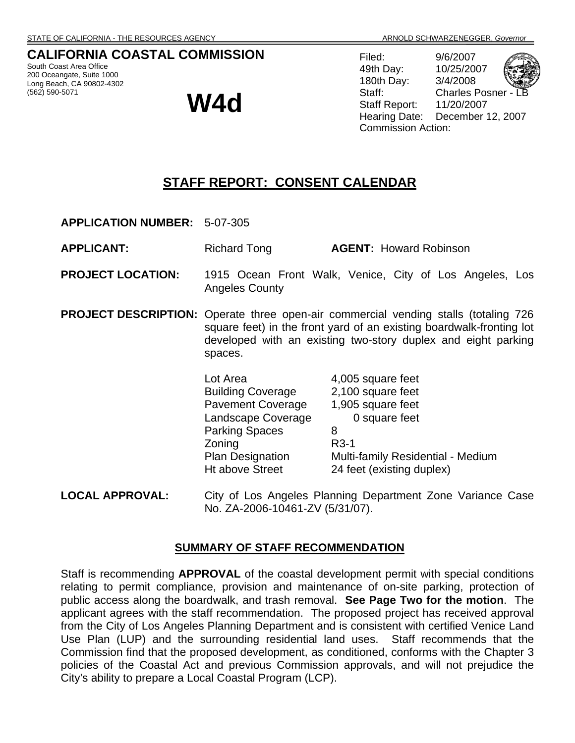## **CALIFORNIA COASTAL COMMISSION**

South Coast Area Office 200 Oceangate, Suite 1000 Long Beach, CA 90802-4302 (562) 590-5071

**W4d** 

Filed: 9/6/2007 49th Day: 10/25/2007 180th Day: 3/4/2008 Staff: Charles Posner Staff Report: 11/20/2007 Hearing Date: December 12, 2007 Commission Action:

# **STAFF REPORT: CONSENT CALENDAR**

**APPLICATION NUMBER:** 5-07-305

**APPLICANT:** Richard Tong **AGENT:** Howard Robinson

- **PROJECT LOCATION:** 1915 Ocean Front Walk, Venice, City of Los Angeles, Los Angeles County
- **PROJECT DESCRIPTION:** Operate three open-air commercial vending stalls (totaling 726 square feet) in the front yard of an existing boardwalk-fronting lot developed with an existing two-story duplex and eight parking spaces.

Lot Area 4,005 square feet Building Coverage 2,100 square feet Pavement Coverage 1,905 square feet Landscape Coverage **0** square feet Parking Spaces 8 **Zoning** R3-1<br>Plan Designation Multi Multi-family Residential - Medium Ht above Street 24 feet (existing duplex)

**LOCAL APPROVAL:** City of Los Angeles Planning Department Zone Variance Case No. ZA-2006-10461-ZV (5/31/07).

#### **SUMMARY OF STAFF RECOMMENDATION**

Staff is recommending **APPROVAL** of the coastal development permit with special conditions relating to permit compliance, provision and maintenance of on-site parking, protection of public access along the boardwalk, and trash removal. **See Page Two for the motion**. The applicant agrees with the staff recommendation. The proposed project has received approval from the City of Los Angeles Planning Department and is consistent with certified Venice Land Use Plan (LUP) and the surrounding residential land uses. Staff recommends that the Commission find that the proposed development, as conditioned, conforms with the Chapter 3 policies of the Coastal Act and previous Commission approvals, and will not prejudice the City's ability to prepare a Local Coastal Program (LCP).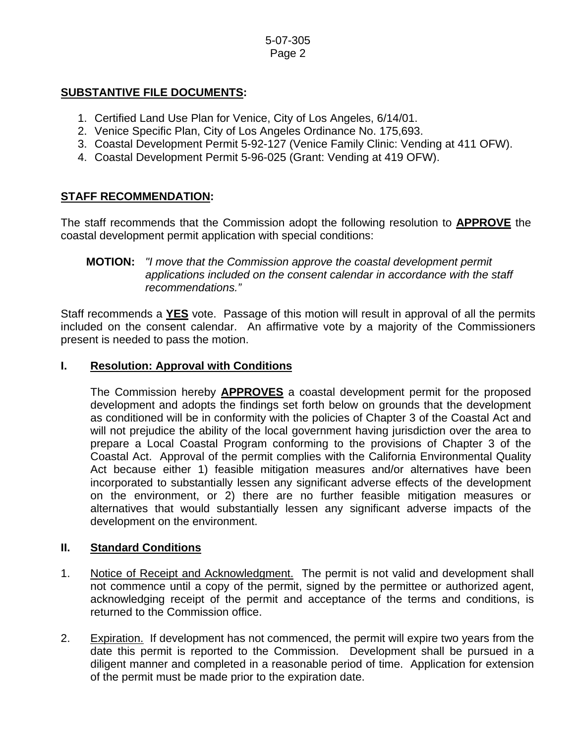#### 5-07-305 Page 2

## **SUBSTANTIVE FILE DOCUMENTS:**

- 1. Certified Land Use Plan for Venice, City of Los Angeles, 6/14/01.
- 2. Venice Specific Plan, City of Los Angeles Ordinance No. 175,693.
- 3. Coastal Development Permit 5-92-127 (Venice Family Clinic: Vending at 411 OFW).
- 4. Coastal Development Permit 5-96-025 (Grant: Vending at 419 OFW).

## **STAFF RECOMMENDATION:**

The staff recommends that the Commission adopt the following resolution to **APPROVE** the coastal development permit application with special conditions:

### **MOTION:** *"I move that the Commission approve the coastal development permit applications included on the consent calendar in accordance with the staff recommendations."*

Staff recommends a **YES** vote. Passage of this motion will result in approval of all the permits included on the consent calendar. An affirmative vote by a majority of the Commissioners present is needed to pass the motion.

#### **I. Resolution: Approval with Conditions**

The Commission hereby **APPROVES** a coastal development permit for the proposed development and adopts the findings set forth below on grounds that the development as conditioned will be in conformity with the policies of Chapter 3 of the Coastal Act and will not prejudice the ability of the local government having jurisdiction over the area to prepare a Local Coastal Program conforming to the provisions of Chapter 3 of the Coastal Act. Approval of the permit complies with the California Environmental Quality Act because either 1) feasible mitigation measures and/or alternatives have been incorporated to substantially lessen any significant adverse effects of the development on the environment, or 2) there are no further feasible mitigation measures or alternatives that would substantially lessen any significant adverse impacts of the development on the environment.

### **II. Standard Conditions**

- 1. Notice of Receipt and Acknowledgment. The permit is not valid and development shall not commence until a copy of the permit, signed by the permittee or authorized agent, acknowledging receipt of the permit and acceptance of the terms and conditions, is returned to the Commission office.
- 2. Expiration. If development has not commenced, the permit will expire two years from the date this permit is reported to the Commission. Development shall be pursued in a diligent manner and completed in a reasonable period of time. Application for extension of the permit must be made prior to the expiration date.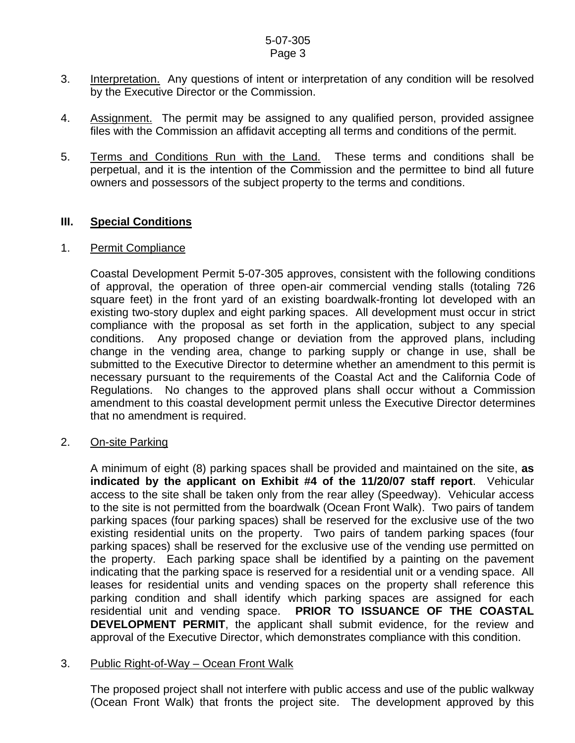#### 5-07-305 Page 3

- 3. Interpretation. Any questions of intent or interpretation of any condition will be resolved by the Executive Director or the Commission.
- 4. Assignment. The permit may be assigned to any qualified person, provided assignee files with the Commission an affidavit accepting all terms and conditions of the permit.
- 5. Terms and Conditions Run with the Land. These terms and conditions shall be perpetual, and it is the intention of the Commission and the permittee to bind all future owners and possessors of the subject property to the terms and conditions.

#### **III. Special Conditions**

#### 1. Permit Compliance

 Coastal Development Permit 5-07-305 approves, consistent with the following conditions of approval, the operation of three open-air commercial vending stalls (totaling 726 square feet) in the front yard of an existing boardwalk-fronting lot developed with an existing two-story duplex and eight parking spaces. All development must occur in strict compliance with the proposal as set forth in the application, subject to any special conditions. Any proposed change or deviation from the approved plans, including change in the vending area, change to parking supply or change in use, shall be submitted to the Executive Director to determine whether an amendment to this permit is necessary pursuant to the requirements of the Coastal Act and the California Code of Regulations. No changes to the approved plans shall occur without a Commission amendment to this coastal development permit unless the Executive Director determines that no amendment is required.

#### 2. On-site Parking

A minimum of eight (8) parking spaces shall be provided and maintained on the site, **as indicated by the applicant on Exhibit #4 of the 11/20/07 staff report**. Vehicular access to the site shall be taken only from the rear alley (Speedway). Vehicular access to the site is not permitted from the boardwalk (Ocean Front Walk). Two pairs of tandem parking spaces (four parking spaces) shall be reserved for the exclusive use of the two existing residential units on the property. Two pairs of tandem parking spaces (four parking spaces) shall be reserved for the exclusive use of the vending use permitted on the property. Each parking space shall be identified by a painting on the pavement indicating that the parking space is reserved for a residential unit or a vending space. All leases for residential units and vending spaces on the property shall reference this parking condition and shall identify which parking spaces are assigned for each residential unit and vending space. **PRIOR TO ISSUANCE OF THE COASTAL DEVELOPMENT PERMIT**, the applicant shall submit evidence, for the review and approval of the Executive Director, which demonstrates compliance with this condition.

#### 3. Public Right-of-Way – Ocean Front Walk

 The proposed project shall not interfere with public access and use of the public walkway (Ocean Front Walk) that fronts the project site. The development approved by this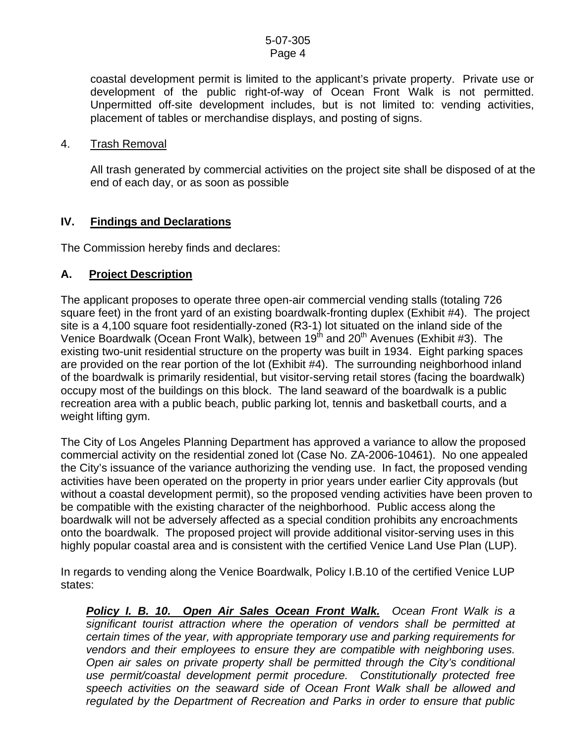#### 5-07-305 Page 4

coastal development permit is limited to the applicant's private property. Private use or development of the public right-of-way of Ocean Front Walk is not permitted. Unpermitted off-site development includes, but is not limited to: vending activities, placement of tables or merchandise displays, and posting of signs.

#### 4. Trash Removal

All trash generated by commercial activities on the project site shall be disposed of at the end of each day, or as soon as possible

### **IV. Findings and Declarations**

The Commission hereby finds and declares:

### **A. Project Description**

The applicant proposes to operate three open-air commercial vending stalls (totaling 726 square feet) in the front yard of an existing boardwalk-fronting duplex (Exhibit #4). The project site is a 4,100 square foot residentially-zoned (R3-1) lot situated on the inland side of the Venice Boardwalk (Ocean Front Walk), between  $19<sup>th</sup>$  and  $20<sup>th</sup>$  Avenues (Exhibit #3). The existing two-unit residential structure on the property was built in 1934. Eight parking spaces are provided on the rear portion of the lot (Exhibit #4). The surrounding neighborhood inland of the boardwalk is primarily residential, but visitor-serving retail stores (facing the boardwalk) occupy most of the buildings on this block. The land seaward of the boardwalk is a public recreation area with a public beach, public parking lot, tennis and basketball courts, and a weight lifting gym.

The City of Los Angeles Planning Department has approved a variance to allow the proposed commercial activity on the residential zoned lot (Case No. ZA-2006-10461). No one appealed the City's issuance of the variance authorizing the vending use. In fact, the proposed vending activities have been operated on the property in prior years under earlier City approvals (but without a coastal development permit), so the proposed vending activities have been proven to be compatible with the existing character of the neighborhood. Public access along the boardwalk will not be adversely affected as a special condition prohibits any encroachments onto the boardwalk. The proposed project will provide additional visitor-serving uses in this highly popular coastal area and is consistent with the certified Venice Land Use Plan (LUP).

In regards to vending along the Venice Boardwalk, Policy I.B.10 of the certified Venice LUP states:

*Policy I. B. 10. Open Air Sales Ocean Front Walk. Ocean Front Walk is a significant tourist attraction where the operation of vendors shall be permitted at certain times of the year, with appropriate temporary use and parking requirements for vendors and their employees to ensure they are compatible with neighboring uses. Open air sales on private property shall be permitted through the City's conditional use permit/coastal development permit procedure. Constitutionally protected free speech activities on the seaward side of Ocean Front Walk shall be allowed and regulated by the Department of Recreation and Parks in order to ensure that public*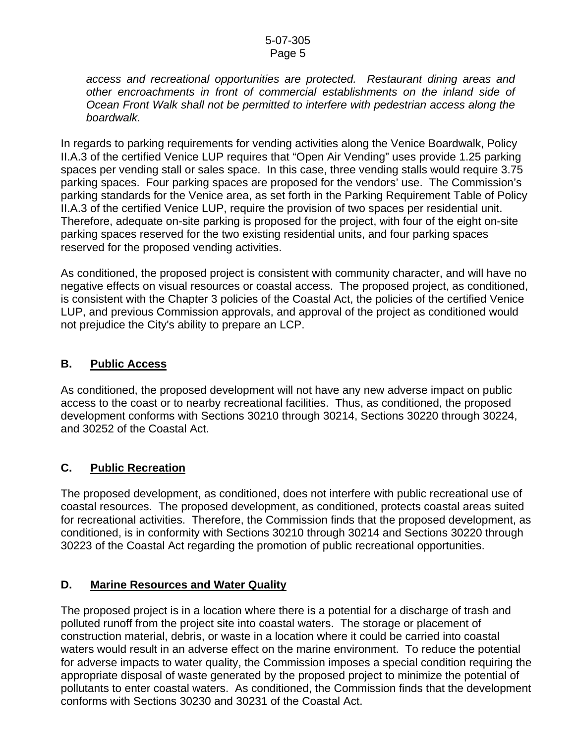*access and recreational opportunities are protected. Restaurant dining areas and other encroachments in front of commercial establishments on the inland side of Ocean Front Walk shall not be permitted to interfere with pedestrian access along the boardwalk.*

In regards to parking requirements for vending activities along the Venice Boardwalk, Policy II.A.3 of the certified Venice LUP requires that "Open Air Vending" uses provide 1.25 parking spaces per vending stall or sales space. In this case, three vending stalls would require 3.75 parking spaces. Four parking spaces are proposed for the vendors' use. The Commission's parking standards for the Venice area, as set forth in the Parking Requirement Table of Policy II.A.3 of the certified Venice LUP, require the provision of two spaces per residential unit. Therefore, adequate on-site parking is proposed for the project, with four of the eight on-site parking spaces reserved for the two existing residential units, and four parking spaces reserved for the proposed vending activities.

As conditioned, the proposed project is consistent with community character, and will have no negative effects on visual resources or coastal access. The proposed project, as conditioned, is consistent with the Chapter 3 policies of the Coastal Act, the policies of the certified Venice LUP, and previous Commission approvals, and approval of the project as conditioned would not prejudice the City's ability to prepare an LCP.

## **B. Public Access**

As conditioned, the proposed development will not have any new adverse impact on public access to the coast or to nearby recreational facilities. Thus, as conditioned, the proposed development conforms with Sections 30210 through 30214, Sections 30220 through 30224, and 30252 of the Coastal Act.

## **C. Public Recreation**

The proposed development, as conditioned, does not interfere with public recreational use of coastal resources. The proposed development, as conditioned, protects coastal areas suited for recreational activities. Therefore, the Commission finds that the proposed development, as conditioned, is in conformity with Sections 30210 through 30214 and Sections 30220 through 30223 of the Coastal Act regarding the promotion of public recreational opportunities.

## **D. Marine Resources and Water Quality**

The proposed project is in a location where there is a potential for a discharge of trash and polluted runoff from the project site into coastal waters. The storage or placement of construction material, debris, or waste in a location where it could be carried into coastal waters would result in an adverse effect on the marine environment. To reduce the potential for adverse impacts to water quality, the Commission imposes a special condition requiring the appropriate disposal of waste generated by the proposed project to minimize the potential of pollutants to enter coastal waters. As conditioned, the Commission finds that the development conforms with Sections 30230 and 30231 of the Coastal Act.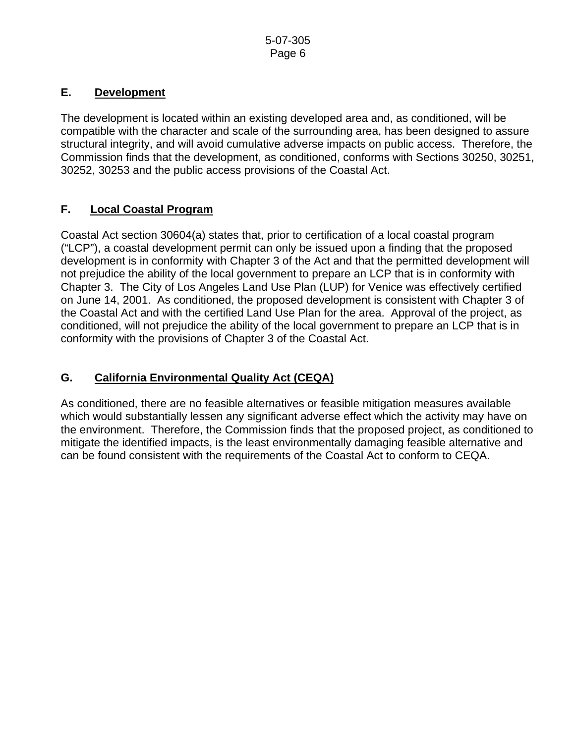## **E. Development**

The development is located within an existing developed area and, as conditioned, will be compatible with the character and scale of the surrounding area, has been designed to assure structural integrity, and will avoid cumulative adverse impacts on public access. Therefore, the Commission finds that the development, as conditioned, conforms with Sections 30250, 30251, 30252, 30253 and the public access provisions of the Coastal Act.

## **F. Local Coastal Program**

Coastal Act section 30604(a) states that, prior to certification of a local coastal program ("LCP"), a coastal development permit can only be issued upon a finding that the proposed development is in conformity with Chapter 3 of the Act and that the permitted development will not prejudice the ability of the local government to prepare an LCP that is in conformity with Chapter 3. The City of Los Angeles Land Use Plan (LUP) for Venice was effectively certified on June 14, 2001. As conditioned, the proposed development is consistent with Chapter 3 of the Coastal Act and with the certified Land Use Plan for the area. Approval of the project, as conditioned, will not prejudice the ability of the local government to prepare an LCP that is in conformity with the provisions of Chapter 3 of the Coastal Act.

# **G. California Environmental Quality Act (CEQA)**

As conditioned, there are no feasible alternatives or feasible mitigation measures available which would substantially lessen any significant adverse effect which the activity may have on the environment. Therefore, the Commission finds that the proposed project, as conditioned to mitigate the identified impacts, is the least environmentally damaging feasible alternative and can be found consistent with the requirements of the Coastal Act to conform to CEQA.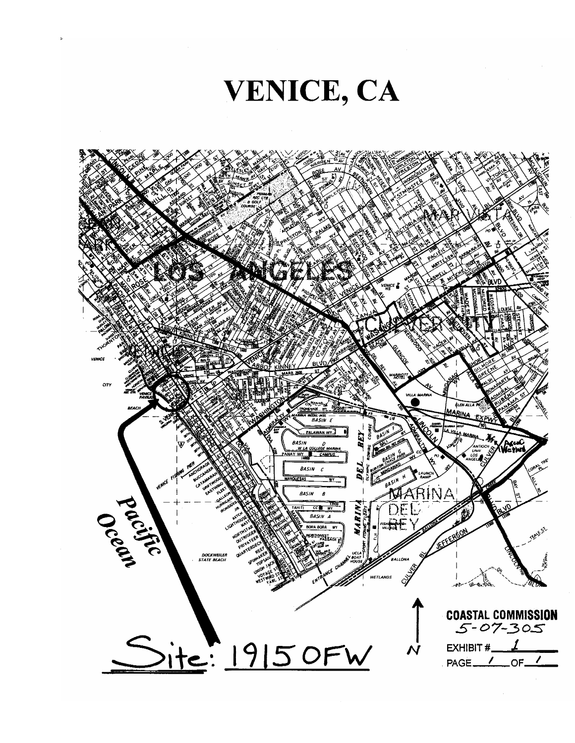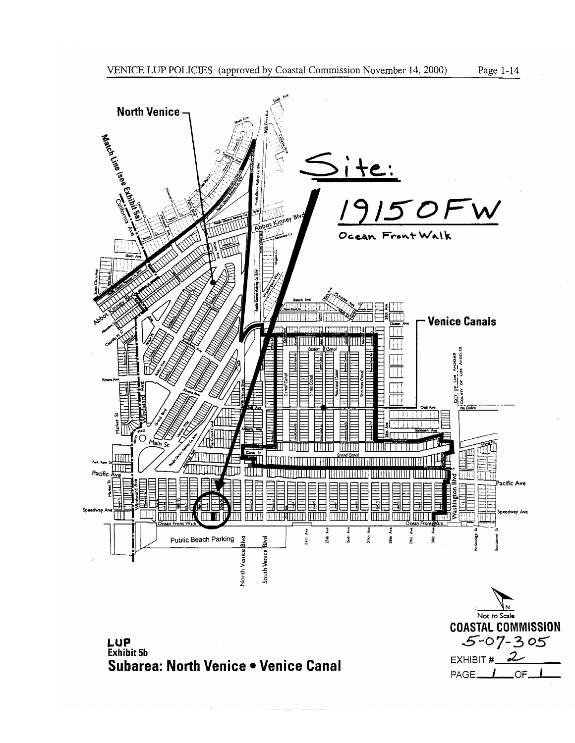

**COASTAL COMMISSION**  $5 - 07 - 305$ 

EXHIBIT  $\#$  2

PAGE<sub>-</sub>L\_OF-



LUP<br>Exhibit 5b Subarea: North Venice . Venice Canal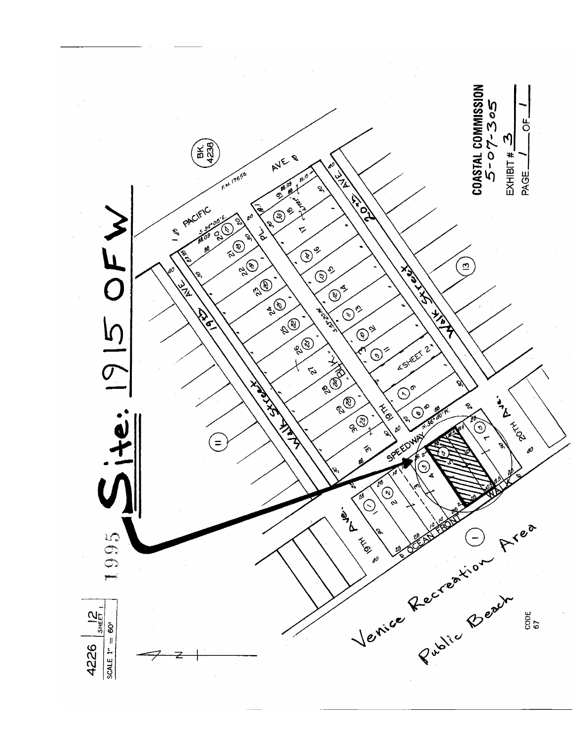